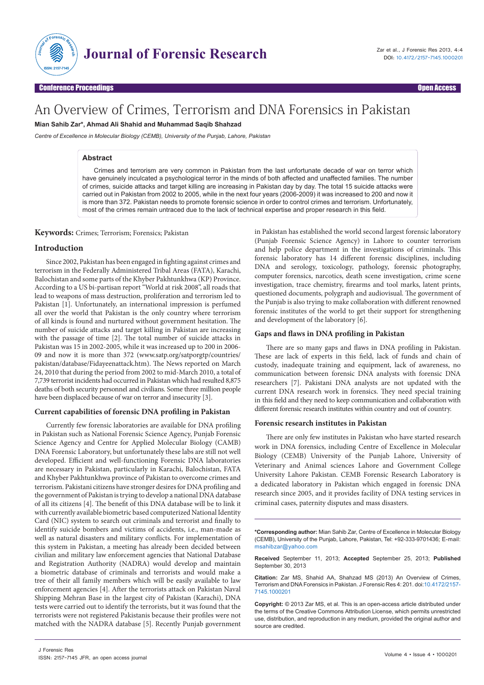

# An Overview of Crimes, Terrorism and DNA Forensics in Pakistan

**Mian Sahib Zar\*, Ahmad Ali Shahid and Muhammad Saqib Shahzad**

*Centre of Excellence in Molecular Biology (CEMB), University of the Punjab, Lahore, Pakistan*

# **Abstract**

Crimes and terrorism are very common in Pakistan from the last unfortunate decade of war on terror which have genuinely inculcated a psychological terror in the minds of both affected and unaffected families. The number of crimes, suicide attacks and target killing are increasing in Pakistan day by day. The total 15 suicide attacks were carried out in Pakistan from 2002 to 2005, while in the next four years (2006-2009) it was increased to 200 and now it is more than 372. Pakistan needs to promote forensic science in order to control crimes and terrorism. Unfortunately, most of the crimes remain untraced due to the lack of technical expertise and proper research in this field.

**Keywords:** Crimes; Terrorism; Forensics; Pakistan

## **Introduction**

Since 2002, Pakistan has been engaged in fighting against crimes and terrorism in the Federally Administered Tribal Areas (FATA), Karachi, Balochistan and some parts of the Khyber Pakhtunkhwa (KP) Province. According to a US bi-partisan report "World at risk 2008", all roads that lead to weapons of mass destruction, proliferation and terrorism led to Pakistan [1]. Unfortunately, an international impression is perfumed all over the world that Pakistan is the only country where terrorism of all kinds is found and nurtured without government hesitation. The number of suicide attacks and target killing in Pakistan are increasing with the passage of time [2]. The total number of suicide attacks in Pakistan was 15 in 2002-2005, while it was increased up to 200 in 2006- 09 and now it is more than 372 (www.satp.org/satporgtp/countries/ pakistan/database/Fidayeenattack.htm). The News reported on March 24, 2010 that during the period from 2002 to mid-March 2010, a total of 7,739 terrorist incidents had occurred in Pakistan which had resulted 8,875 deaths of both security personnel and civilians. Some three million people have been displaced because of war on terror and insecurity [3].

# **Current capabilities of forensic DNA profiling in Pakistan**

Currently few forensic laboratories are available for DNA profiling in Pakistan such as National Forensic Science Agency, Punjab Forensic Science Agency and Centre for Applied Molecular Biology (CAMB) DNA Forensic Laboratory, but unfortunately these labs are still not well developed. Efficient and well-functioning Forensic DNA laboratories are necessary in Pakistan, particularly in Karachi, Balochistan, FATA and Khyber Pakhtunkhwa province of Pakistan to overcome crimes and terrorism. Pakistani citizens have stronger desires for DNA profiling and the government of Pakistan is trying to develop a national DNA database of all its citizens [4]. The benefit of this DNA database will be to link it with currently available biometric based computerized National Identity Card (NIC) system to search out criminals and terrorist and finally to identify suicide bombers and victims of accidents, i.e., man-made as well as natural disasters and military conflicts. For implementation of this system in Pakistan, a meeting has already been decided between civilian and military law enforcement agencies that National Database and Registration Authority (NADRA) would develop and maintain a biometric database of criminals and terrorists and would make a tree of their all family members which will be easily available to law enforcement agencies [4]. After the terrorists attack on Pakistan Naval Shipping Mehran Base in the largest city of Pakistan (Karachi), DNA tests were carried out to identify the terrorists, but it was found that the terrorists were not registered Pakistanis because their profiles were not matched with the NADRA database [5]. Recently Punjab government in Pakistan has established the world second largest forensic laboratory (Punjab Forensic Science Agency) in Lahore to counter terrorism and help police department in the investigations of criminals. This forensic laboratory has 14 different forensic disciplines, including DNA and serology, toxicology, pathology, forensic photography, computer forensics, narcotics, death scene investigation, crime scene investigation, trace chemistry, firearms and tool marks, latent prints, questioned documents, polygraph and audiovisual. The government of the Punjab is also trying to make collaboration with different renowned forensic institutes of the world to get their support for strengthening and development of the laboratory [6].

#### **Gaps and flaws in DNA profiling in Pakistan**

There are so many gaps and flaws in DNA profiling in Pakistan. These are lack of experts in this field, lack of funds and chain of custody, inadequate training and equipment, lack of awareness, no communication between forensic DNA analysts with forensic DNA researchers [7]. Pakistani DNA analysts are not updated with the current DNA research work in forensics. They need special training in this field and they need to keep communication and collaboration with different forensic research institutes within country and out of country.

## **Forensic research institutes in Pakistan**

There are only few institutes in Pakistan who have started research work in DNA forensics, including Centre of Excellence in Molecular Biology (CEMB) University of the Punjab Lahore, University of Veterinary and Animal sciences Lahore and Government College University Lahore Pakistan. CEMB Forensic Research Laboratory is a dedicated laboratory in Pakistan which engaged in forensic DNA research since 2005, and it provides facility of DNA testing services in criminal cases, paternity disputes and mass disasters.

**\*Corresponding author:** Mian Sahib Zar, Centre of Excellence in Molecular Biology (CEMB), University of the Punjab, Lahore, Pakistan, Tel: +92-333-9701436; E-mail: msahibzar@yahoo.com

**Received** September 11, 2013; **Accepted** September 25, 2013; **Published** September 30, 2013

**Citation:** Zar MS, Shahid AA, Shahzad MS (2013) An Overview of Crimes, Terrorism and DNA Forensics in Pakistan. J Forensic Res 4: 201. doi:[10.4172/2157-](http://dx.doi.org/10.4172/2157-7145.1000201) [7145.1000201](http://dx.doi.org/10.4172/2157-7145.1000201)

**Copyright:** © 2013 Zar MS, et al. This is an open-access article distributed under the terms of the Creative Commons Attribution License, which permits unrestricted use, distribution, and reproduction in any medium, provided the original author and source are credited.